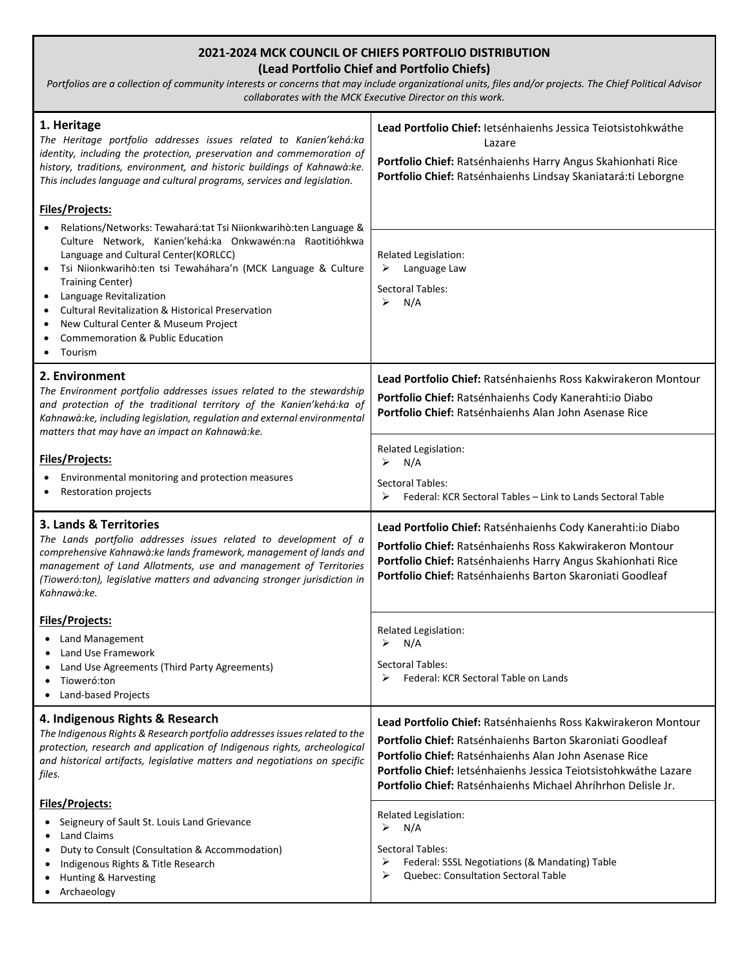| 1. Heritage<br>The Heritage portfolio addresses issues related to Kanien'kehá:ka<br>identity, including the protection, preservation and commemoration of<br>history, traditions, environment, and historic buildings of Kahnawà:ke.<br>This includes language and cultural programs, services and legislation.                                                                                                                                                                                 | Lead Portfolio Chief: letsénhaienhs Jessica Teiotsistohkwáthe<br>Lazare<br>Portfolio Chief: Ratsénhaienhs Harry Angus Skahionhati Rice<br>Portfolio Chief: Ratsénhaienhs Lindsay Skaniatará:ti Leborgne                                                                                                                              |
|-------------------------------------------------------------------------------------------------------------------------------------------------------------------------------------------------------------------------------------------------------------------------------------------------------------------------------------------------------------------------------------------------------------------------------------------------------------------------------------------------|--------------------------------------------------------------------------------------------------------------------------------------------------------------------------------------------------------------------------------------------------------------------------------------------------------------------------------------|
| Files/Projects:<br>Relations/Networks: Tewahará:tat Tsi Niionkwarihò:ten Language &<br>Culture Network, Kanien'kehá:ka Onkwawén:na Raotitióhkwa<br>Language and Cultural Center(KORLCC)<br>Tsi Niionkwarihò:ten tsi Tewaháhara'n (MCK Language & Culture<br>$\bullet$<br><b>Training Center)</b><br>Language Revitalization<br>$\bullet$<br><b>Cultural Revitalization &amp; Historical Preservation</b><br>New Cultural Center & Museum Project<br>Commemoration & Public Education<br>Tourism | Related Legislation:<br>Language Law<br>➤<br><b>Sectoral Tables:</b><br>N/A<br>➤                                                                                                                                                                                                                                                     |
| 2. Environment<br>The Environment portfolio addresses issues related to the stewardship<br>and protection of the traditional territory of the Kanien'kehá:ka of<br>Kahnawà:ke, including legislation, regulation and external environmental<br>matters that may have an impact on Kahnawà:ke.                                                                                                                                                                                                   | Lead Portfolio Chief: Ratsénhaienhs Ross Kakwirakeron Montour<br>Portfolio Chief: Ratsénhaienhs Cody Kanerahti:io Diabo<br>Portfolio Chief: Ratsénhaienhs Alan John Asenase Rice                                                                                                                                                     |
| Files/Projects:<br>Environmental monitoring and protection measures<br><b>Restoration projects</b>                                                                                                                                                                                                                                                                                                                                                                                              | Related Legislation:<br>N/A<br>➤<br>Sectoral Tables:<br>Federal: KCR Sectoral Tables - Link to Lands Sectoral Table<br>≻                                                                                                                                                                                                             |
| 3. Lands & Territories<br>The Lands portfolio addresses issues related to development of a<br>comprehensive Kahnawà: ke lands framework, management of lands and<br>management of Land Allotments, use and management of Territories<br>(Tioweró:ton), legislative matters and advancing stronger jurisdiction in<br>Kahnawà:ke.                                                                                                                                                                | Lead Portfolio Chief: Ratsénhaienhs Cody Kanerahti:io Diabo<br><b>Portfolio Chief:</b> Ratsénhaienhs Ross Kakwirakeron Montour<br>Portfolio Chief: Ratsénhaienhs Harry Angus Skahionhati Rice<br><b>Portfolio Chief:</b> Ratsénhaienhs Barton Skaroniati Goodleaf                                                                    |
| Files/Projects:<br>Land Management<br>Land Use Framework<br>Land Use Agreements (Third Party Agreements)<br>Tioweró:ton<br>Land-based Projects                                                                                                                                                                                                                                                                                                                                                  | Related Legislation:<br>N/A<br>➤<br><b>Sectoral Tables:</b><br>➤<br>Federal: KCR Sectoral Table on Lands                                                                                                                                                                                                                             |
| 4. Indigenous Rights & Research<br>The Indigenous Rights & Research portfolio addresses issues related to the<br>protection, research and application of Indigenous rights, archeological<br>and historical artifacts, legislative matters and negotiations on specific<br>files.                                                                                                                                                                                                               | Lead Portfolio Chief: Ratsénhaienhs Ross Kakwirakeron Montour<br><b>Portfolio Chief:</b> Ratsénhaienhs Barton Skaroniati Goodleaf<br>Portfolio Chief: Ratsénhaienhs Alan John Asenase Rice<br>Portfolio Chief: letsénhaienhs Jessica Teiotsistohkwáthe Lazare<br><b>Portfolio Chief:</b> Ratsénhaienhs Michael Ahríhrhon Delisle Jr. |
| Files/Projects:<br>Seigneury of Sault St. Louis Land Grievance<br>$\bullet$<br>Land Claims<br>Duty to Consult (Consultation & Accommodation)<br>٠                                                                                                                                                                                                                                                                                                                                               | Related Legislation:<br>N/A<br>➤                                                                                                                                                                                                                                                                                                     |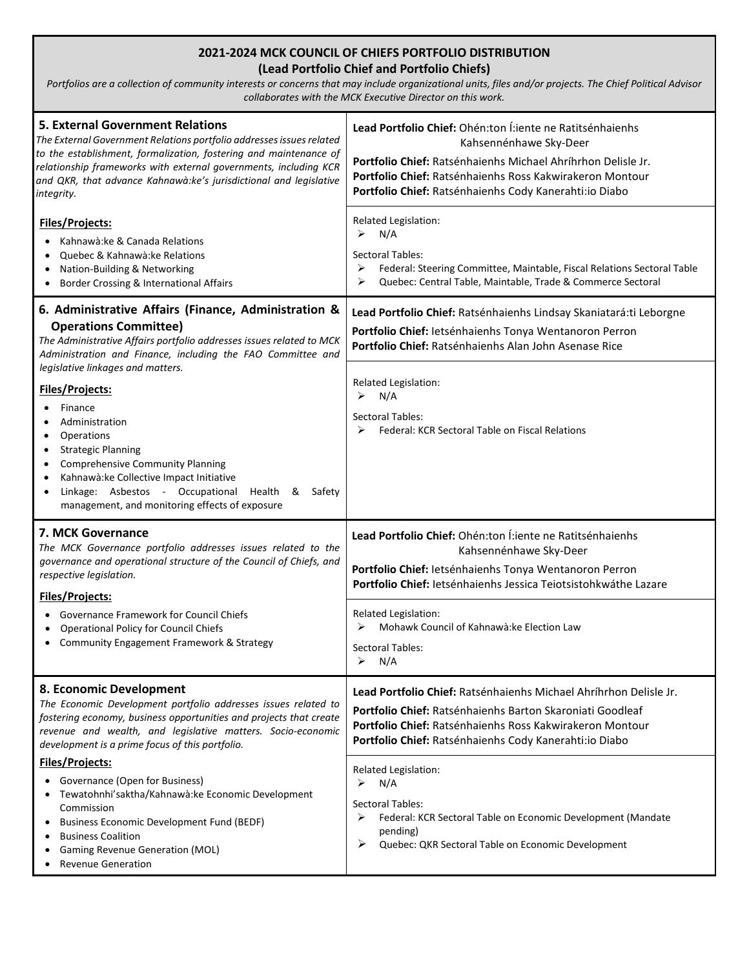| <b>5. External Government Relations</b><br>The External Government Relations portfolio addresses issues related<br>to the establishment, formalization, fostering and maintenance of<br>relationship frameworks with external governments, including KCR<br>and QKR, that advance Kahnawà:ke's jurisdictional and legislative<br>integrity.                       | Lead Portfolio Chief: Ohén:ton Í:iente ne Ratitsénhaienhs<br>Kahsennénhawe Sky-Deer<br>Portfolio Chief: Ratsénhaienhs Michael Ahríhrhon Delisle Jr.<br>Portfolio Chief: Ratsénhaienhs Ross Kakwirakeron Montour<br>Portfolio Chief: Ratsénhaienhs Cody Kanerahti: io Diabo |
|-------------------------------------------------------------------------------------------------------------------------------------------------------------------------------------------------------------------------------------------------------------------------------------------------------------------------------------------------------------------|----------------------------------------------------------------------------------------------------------------------------------------------------------------------------------------------------------------------------------------------------------------------------|
| Files/Projects:<br>Kahnawà:ke & Canada Relations<br>$\bullet$<br>Quebec & Kahnawà: ke Relations<br>$\bullet$<br>Nation-Building & Networking<br>$\bullet$<br>Border Crossing & International Affairs<br>$\bullet$                                                                                                                                                 | Related Legislation:<br>➤<br>N/A<br>Sectoral Tables:<br>Federal: Steering Committee, Maintable, Fiscal Relations Sectoral Table<br>➤<br>Quebec: Central Table, Maintable, Trade & Commerce Sectoral<br>➤                                                                   |
| 6. Administrative Affairs (Finance, Administration &<br><b>Operations Committee)</b><br>The Administrative Affairs portfolio addresses issues related to MCK<br>Administration and Finance, including the FAO Committee and                                                                                                                                       | Lead Portfolio Chief: Ratsénhaienhs Lindsay Skaniatará:ti Leborgne<br>Portfolio Chief: Ietsénhaienhs Tonya Wentanoron Perron<br>Portfolio Chief: Ratsénhaienhs Alan John Asenase Rice                                                                                      |
| legislative linkages and matters.<br>Files/Projects:<br>Finance<br>Administration<br>Operations<br>$\bullet$<br><b>Strategic Planning</b><br>٠<br><b>Comprehensive Community Planning</b><br>٠<br>Kahnawà: ke Collective Impact Initiative<br>Linkage: Asbestos - Occupational Health &<br>Safety<br>management, and monitoring effects of exposure               | Related Legislation:<br>N/A<br>⋗<br>Sectoral Tables:<br>Federal: KCR Sectoral Table on Fiscal Relations<br>⋗                                                                                                                                                               |
| 7. MCK Governance<br>The MCK Governance portfolio addresses issues related to the<br>governance and operational structure of the Council of Chiefs, and<br>respective legislation.                                                                                                                                                                                | Lead Portfolio Chief: Ohén:ton Í:iente ne Ratitsénhaienhs<br>Kahsennénhawe Sky-Deer<br>Portfolio Chief: Ietsénhaienhs Tonya Wentanoron Perron<br>Portfolio Chief: letsénhaienhs Jessica Teiotsistohkwáthe Lazare                                                           |
| <b>Files/Projects:</b><br><b>Governance Framework for Council Chiefs</b><br>$\bullet$<br><b>Operational Policy for Council Chiefs</b><br>$\bullet$<br>Community Engagement Framework & Strategy<br>$\bullet$                                                                                                                                                      | Related Legislation:<br>Mohawk Council of Kahnawà: ke Election Law<br>⋗<br>Sectoral Tables:<br>N/A                                                                                                                                                                         |
| 8. Economic Development<br>The Economic Development portfolio addresses issues related to<br>fostering economy, business opportunities and projects that create<br>revenue and wealth, and legislative matters. Socio-economic<br>development is a prime focus of this portfolio.                                                                                 | Lead Portfolio Chief: Ratsénhaienhs Michael Ahríhrhon Delisle Jr.<br>Portfolio Chief: Ratsénhaienhs Barton Skaroniati Goodleaf<br>Portfolio Chief: Ratsénhaienhs Ross Kakwirakeron Montour<br>Portfolio Chief: Ratsénhaienhs Cody Kanerahti:io Diabo                       |
| <b>Files/Projects:</b><br>Governance (Open for Business)<br>$\bullet$<br>Tewatohnhi'saktha/Kahnawà:ke Economic Development<br>$\bullet$<br>Commission<br><b>Business Economic Development Fund (BEDF)</b><br>$\bullet$<br><b>Business Coalition</b><br>$\bullet$<br><b>Gaming Revenue Generation (MOL)</b><br>$\bullet$<br><b>Revenue Generation</b><br>$\bullet$ | Related Legislation:<br>➤<br>N/A<br>Sectoral Tables:<br>➤<br>Federal: KCR Sectoral Table on Economic Development (Mandate<br>pending)<br>➤<br>Quebec: QKR Sectoral Table on Economic Development                                                                           |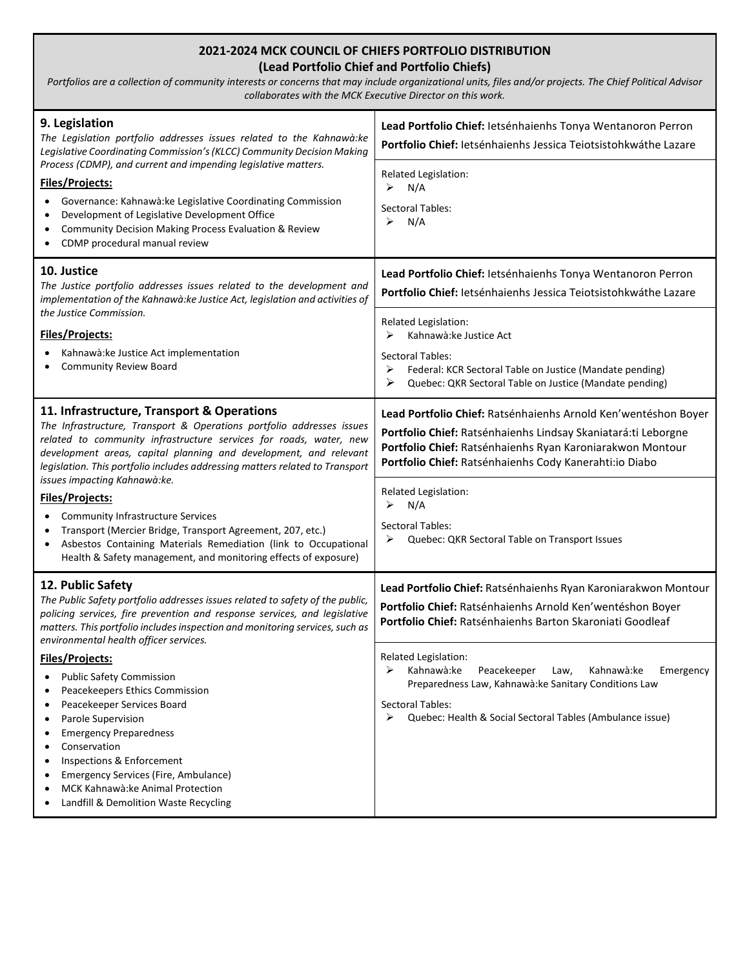| 9. Legislation<br>The Legislation portfolio addresses issues related to the Kahnawà: ke<br>Legislative Coordinating Commission's (KLCC) Community Decision Making                                                                                                                                                                              | Lead Portfolio Chief: letsénhaienhs Tonya Wentanoron Perron<br>Portfolio Chief: letsénhaienhs Jessica Teiotsistohkwáthe Lazare                                                                                                                          |
|------------------------------------------------------------------------------------------------------------------------------------------------------------------------------------------------------------------------------------------------------------------------------------------------------------------------------------------------|---------------------------------------------------------------------------------------------------------------------------------------------------------------------------------------------------------------------------------------------------------|
| Process (CDMP), and current and impending legislative matters.<br>Files/Projects:<br>Governance: Kahnawà: ke Legislative Coordinating Commission<br>Development of Legislative Development Office<br>Community Decision Making Process Evaluation & Review<br>CDMP procedural manual review                                                    | Related Legislation:<br>N/A<br>➤<br>Sectoral Tables:<br>N/A<br>⋗                                                                                                                                                                                        |
| 10. Justice<br>The Justice portfolio addresses issues related to the development and<br>implementation of the Kahnawà: ke Justice Act, legislation and activities of                                                                                                                                                                           | Lead Portfolio Chief: letsénhaienhs Tonya Wentanoron Perron<br>Portfolio Chief: letsénhaienhs Jessica Teiotsistohkwáthe Lazare                                                                                                                          |
| the Justice Commission.<br><b>Files/Projects:</b><br>Kahnawà: ke Justice Act implementation<br><b>Community Review Board</b>                                                                                                                                                                                                                   | Related Legislation:<br>Kahnawà: ke Justice Act<br>⋗<br>Sectoral Tables:<br>➤<br>Federal: KCR Sectoral Table on Justice (Mandate pending)<br>Quebec: QKR Sectoral Table on Justice (Mandate pending)<br>➤                                               |
| 11. Infrastructure, Transport & Operations<br>The Infrastructure, Transport & Operations portfolio addresses issues<br>related to community infrastructure services for roads, water, new<br>development areas, capital planning and development, and relevant<br>legislation. This portfolio includes addressing matters related to Transport | Lead Portfolio Chief: Ratsénhaienhs Arnold Ken'wentéshon Boyer<br>Portfolio Chief: Ratsénhaienhs Lindsay Skaniatará:ti Leborgne<br>Portfolio Chief: Ratsénhaienhs Ryan Karoniarakwon Montour<br>Portfolio Chief: Ratsénhaienhs Cody Kanerahti: io Diabo |
| issues impacting Kahnawà:ke.<br><b>Files/Projects:</b><br><b>Community Infrastructure Services</b><br>Transport (Mercier Bridge, Transport Agreement, 207, etc.)<br>Asbestos Containing Materials Remediation (link to Occupational<br>Health & Safety management, and monitoring effects of exposure)                                         | Related Legislation:<br>N/A<br><b>Sectoral Tables:</b><br>Quebec: QKR Sectoral Table on Transport Issues<br>➤                                                                                                                                           |
| 12. Public Safety<br>The Public Safety portfolio addresses issues related to safety of the public,<br>policing services, fire prevention and response services, and legislative<br>matters. This portfolio includes inspection and monitoring services, such as<br>environmental health officer services.                                      | Lead Portfolio Chief: Ratsénhaienhs Ryan Karoniarakwon Montour<br>Portfolio Chief: Ratsénhaienhs Arnold Ken'wentéshon Boyer<br>Portfolio Chief: Ratsénhaienhs Barton Skaroniati Goodleaf                                                                |
| Files/Projects:<br><b>Public Safety Commission</b><br>Peacekeepers Ethics Commission<br>Peacekeeper Services Board<br>Parole Supervision<br><b>Emergency Preparedness</b><br>Conservation<br>Inspections & Enforcement<br>Emergency Services (Fire, Ambulance)<br>MCK Kahnawà: ke Animal Protection<br>Landfill & Demolition Waste Recycling   | Related Legislation:<br>➤<br>Kahnawà:ke<br>Peacekeeper<br>Kahnawà:ke<br>Law,<br>Emergency<br>Preparedness Law, Kahnawà:ke Sanitary Conditions Law<br><b>Sectoral Tables:</b><br>Quebec: Health & Social Sectoral Tables (Ambulance issue)<br>➤          |